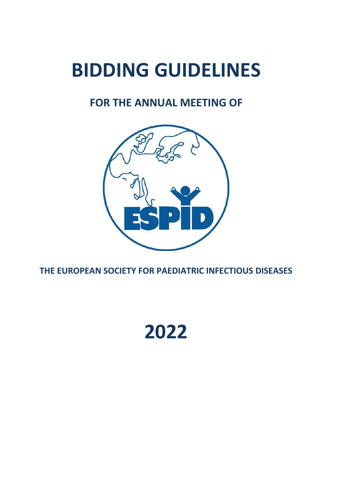# **BIDDING GUIDELINES**

# **FOR THE ANNUAL MEETING OF**



**THE EUROPEAN SOCIETY FOR PAEDIATRIC INFECTIOUS DISEASES**

# **2022**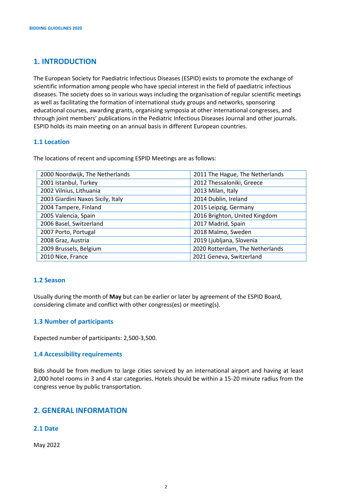# **1. INTRODUCTION**

The European Society for Paediatric Infectious Diseases (ESPID) exists to promote the exchange of scientific information among people who have special interest in the field of paediatric infectious diseases. The society does so in various ways including the organisation of regular scientific meetings as well as facilitating the formation of international study groups and networks, sponsoring educational courses, awarding grants, organising symposia at other international congresses, and through joint members' publications in the Pediatric Infectious Diseases Journal and other journals. ESPID holds its main meeting on an annual basis in different European countries.

## **1.1 Location**

The locations of recent and upcoming ESPID Meetings are as follows:

| 2000 Noordwijk, The Netherlands   | 2011 The Hague, The Netherlands |
|-----------------------------------|---------------------------------|
| 2001 Istanbul, Turkey             | 2012 Thessaloniki, Greece       |
| 2002 Vilnius, Lithuania           | 2013 Milan, Italy               |
| 2003 Giardini Naxos Sicily, Italy | 2014 Dublin, Ireland            |
| 2004 Tampere, Finland             | 2015 Leipzig, Germany           |
| 2005 Valencia, Spain              | 2016 Brighton, United Kingdom   |
| 2006 Basel, Switzerland           | 2017 Madrid, Spain              |
| 2007 Porto, Portugal              | 2018 Malmo, Sweden              |
| 2008 Graz, Austria                | 2019 Ljubljana, Slovenia        |
| 2009 Brussels, Belgium            | 2020 Rotterdam, The Netherlands |
| 2010 Nice, France                 | 2021 Geneva, Switzerland        |

#### **1.2 Season**

Usually during the month of **May** but can be earlier or later by agreement of the ESPID Board, considering climate and conflict with other congress(es) or meeting(s).

# **1.3 Number of participants**

Expected number of participants: 2,500-3,500.

#### **1.4 Accessibility requirements**

Bids should be from medium to large cities serviced by an international airport and having at least 2,000 hotel rooms in 3 and 4 star categories. Hotels should be within a 15-20 minute radius from the congress venue by public transportation.

# **2. GENERAL INFORMATION**

#### **2.1 Date**

May 2022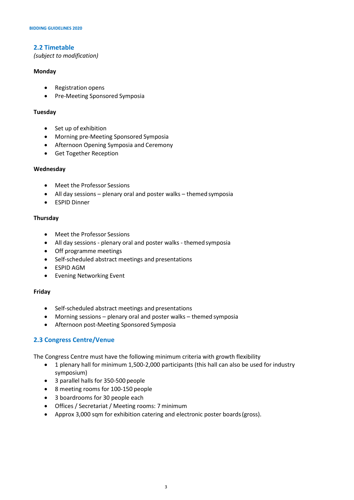# **2.2 Timetable**

*(subject to modification)*

#### **Monday**

- Registration opens
- Pre-Meeting Sponsored Symposia

#### **Tuesday**

- Set up of exhibition
- Morning pre-Meeting Sponsored Symposia
- Afternoon Opening Symposia and Ceremony
- Get Together Reception

#### **Wednesday**

- Meet the Professor Sessions
- All day sessions plenary oral and poster walks themed symposia
- ESPID Dinner

## **Thursday**

- Meet the Professor Sessions
- All day sessions plenary oral and poster walks themed symposia
- Off programme meetings
- Self-scheduled abstract meetings and presentations
- ESPID AGM
- Evening Networking Event

#### **Friday**

- Self-scheduled abstract meetings and presentations
- Morning sessions plenary oral and poster walks themed symposia
- Afternoon post-Meeting Sponsored Symposia

# **2.3 Congress Centre/Venue**

The Congress Centre must have the following minimum criteria with growth flexibility

- 1 plenary hall for minimum 1,500-2,000 participants (this hall can also be used for industry symposium)
- 3 parallel halls for 350-500 people
- 8 meeting rooms for 100-150 people
- 3 boardrooms for 30 people each
- Offices / Secretariat / Meeting rooms: 7minimum
- Approx 3,000 sqm for exhibition catering and electronic poster boards(gross).